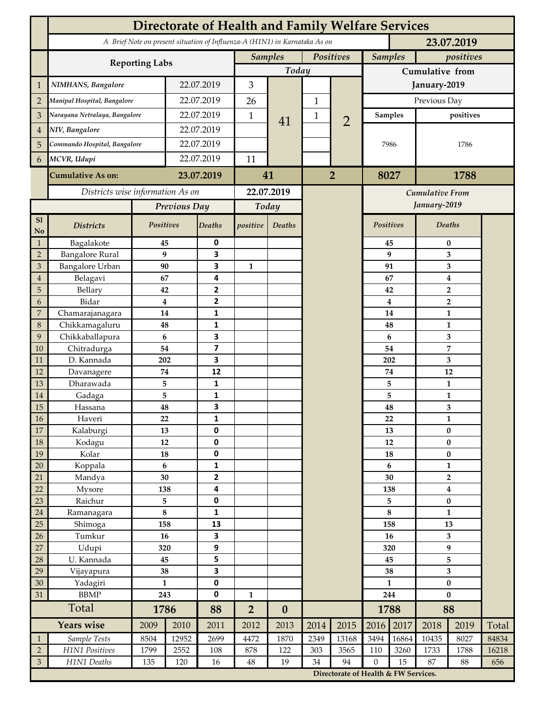|                     | <b>Directorate of Health and Family Welfare Services</b> |                      |            |                   |                             |                                                                            |                |                                      |                               |                                        |                                                    |              |       |  |
|---------------------|----------------------------------------------------------|----------------------|------------|-------------------|-----------------------------|----------------------------------------------------------------------------|----------------|--------------------------------------|-------------------------------|----------------------------------------|----------------------------------------------------|--------------|-------|--|
|                     |                                                          |                      |            |                   |                             | A Brief Note on present situation of Influenza-A (H1N1) in Karnataka As on |                |                                      |                               | 23.07.2019                             |                                                    |              |       |  |
|                     | <b>Reporting Labs</b>                                    |                      |            |                   | Positives<br><b>Samples</b> |                                                                            |                |                                      |                               | <b>Samples</b><br>positives            |                                                    |              |       |  |
|                     |                                                          | Today                |            |                   |                             | Cumulative from                                                            |                |                                      |                               |                                        |                                                    |              |       |  |
| 1                   | NIMHANS, Bangalore                                       | 22.07.2019           |            | 3                 |                             |                                                                            |                | January-2019                         |                               |                                        |                                                    |              |       |  |
| $\overline{2}$      | Manipal Hospital, Bangalore                              |                      | 22.07.2019 |                   | 26                          | 41                                                                         | $\mathbf{1}$   |                                      | Previous Day                  |                                        |                                                    |              |       |  |
| $\mathfrak{Z}$      | Narayana Netralaya, Bangalore                            |                      |            | 22.07.2019        |                             |                                                                            | 1              | $\overline{2}$                       |                               | <b>Samples</b>                         | positives                                          |              |       |  |
| $\overline{4}$      | NIV, Bangalore                                           |                      | 22.07.2019 |                   | 1                           |                                                                            |                |                                      | 7986                          |                                        |                                                    |              |       |  |
| 5                   | Commando Hospital, Bangalore                             |                      | 22.07.2019 |                   |                             |                                                                            |                |                                      |                               |                                        | 1786                                               |              |       |  |
| 6                   | MCVR, Udupi                                              |                      | 22.07.2019 |                   | 11                          |                                                                            |                |                                      |                               |                                        |                                                    |              |       |  |
|                     | <b>Cumulative As on:</b>                                 |                      | 23.07.2019 |                   |                             |                                                                            | $\overline{2}$ |                                      | 8027                          |                                        | 1788                                               |              |       |  |
|                     |                                                          |                      |            | 41                |                             |                                                                            |                |                                      |                               |                                        |                                                    |              |       |  |
|                     | Districts wise information As on                         |                      |            | 22.07.2019        |                             |                                                                            |                |                                      |                               | <b>Cumulative From</b><br>January-2019 |                                                    |              |       |  |
|                     |                                                          | Previous Day         |            | Today             |                             |                                                                            |                |                                      |                               |                                        |                                                    |              |       |  |
| ${\bf S1}$<br>No    | <b>Districts</b>                                         | Positives            |            | <b>Deaths</b>     | positive                    | Deaths                                                                     |                |                                      | Positives                     |                                        | Deaths                                             |              |       |  |
| 1                   | Bagalakote                                               | 45                   |            | 0                 |                             |                                                                            |                |                                      |                               | 45                                     | $\bf{0}$                                           |              |       |  |
| $\overline{2}$      | <b>Bangalore Rural</b>                                   | 9                    |            | 3                 |                             |                                                                            |                |                                      | 9                             | 3                                      |                                                    |              |       |  |
| $\mathfrak{Z}$      | <b>Bangalore Urban</b>                                   | 90                   |            | 3                 | $\mathbf{1}$                |                                                                            |                |                                      | 91                            |                                        | 3                                                  |              |       |  |
| $\overline{4}$      | Belagavi                                                 | 67                   |            | 4<br>$\mathbf{2}$ |                             |                                                                            |                |                                      | 67                            |                                        | 4                                                  |              |       |  |
| $\overline{5}$<br>6 | Bellary<br>Bidar                                         | 42<br>$\overline{4}$ |            | $\overline{2}$    |                             |                                                                            |                |                                      |                               | 42                                     | $\overline{\mathbf{2}}$<br>$\overline{\mathbf{2}}$ |              |       |  |
| $\overline{7}$      | Chamarajanagara                                          | 14                   |            | 1                 |                             |                                                                            |                |                                      | $\overline{\mathbf{4}}$<br>14 |                                        |                                                    | 1            |       |  |
| $\,8\,$             | Chikkamagaluru                                           | 48                   |            | 1                 |                             |                                                                            |                |                                      |                               | 48                                     |                                                    | 1            |       |  |
| $\overline{9}$      | Chikkaballapura                                          | 6                    |            | 3                 |                             |                                                                            |                |                                      |                               | $\boldsymbol{6}$                       |                                                    | 3            |       |  |
| 10                  | Chitradurga                                              | 54                   |            | 7                 |                             |                                                                            |                |                                      |                               | 54                                     |                                                    | 7            |       |  |
| 11                  | D. Kannada                                               | 202                  |            | 3                 |                             |                                                                            |                |                                      |                               | 202                                    |                                                    | 3            |       |  |
| 12                  | Davanagere                                               | 74                   |            | 12                |                             |                                                                            |                |                                      |                               | 74                                     | 12                                                 |              |       |  |
| 13                  | Dharawada                                                | 5                    |            | 1                 |                             |                                                                            |                |                                      |                               | 5                                      | $\mathbf{1}$                                       |              |       |  |
| 14                  | Gadaga                                                   | 5                    |            | 1                 |                             |                                                                            |                |                                      |                               | 5                                      | $\mathbf{1}$                                       |              |       |  |
| 15                  | Hassana                                                  | 48                   |            | 3                 |                             |                                                                            |                |                                      |                               | 48                                     | 3                                                  |              |       |  |
| <b>16</b>           | Haveri                                                   | 22                   |            | $\mathbf 1$       |                             |                                                                            |                |                                      |                               | 22                                     |                                                    | $\mathbf{1}$ |       |  |
| 17                  | Kalaburgi                                                | 13                   |            | 0                 |                             |                                                                            |                |                                      | 13                            |                                        | $\bf{0}$                                           |              |       |  |
| 18                  | Kodagu                                                   | 12                   |            | 0                 |                             |                                                                            |                |                                      |                               | 12                                     | $\bf{0}$                                           |              |       |  |
| 19                  | Kolar                                                    | ${\bf 18}$           |            | $\pmb{0}$         |                             |                                                                            |                |                                      | 18                            |                                        | $\pmb{0}$                                          |              |       |  |
| 20                  | Koppala                                                  | 6                    |            | $\mathbf{1}$      |                             |                                                                            |                |                                      | $\boldsymbol{6}$              |                                        |                                                    | $\mathbf{1}$ |       |  |
| 21                  | Mandya                                                   | 30                   |            | $\mathbf{2}$      |                             |                                                                            |                |                                      | 30                            |                                        | $\overline{2}$                                     |              |       |  |
| 22                  | Mysore                                                   | 138                  |            | 4                 |                             |                                                                            |                |                                      | 138                           |                                        | $\boldsymbol{4}$                                   |              |       |  |
| 23                  | Raichur                                                  | 5<br>$\bf 8$         |            | $\pmb{0}$         |                             |                                                                            |                |                                      | 5<br>$\bf 8$                  |                                        | $\bf{0}$                                           |              |       |  |
| 24<br>25            | Ramanagara<br>Shimoga                                    | 158                  |            | 1<br>13           |                             |                                                                            |                |                                      | 158                           |                                        | $\mathbf{1}$<br>13                                 |              |       |  |
| 26                  | Tumkur                                                   | 16                   |            | 3                 |                             |                                                                            |                |                                      | 16                            |                                        | 3                                                  |              |       |  |
| 27                  | Udupi                                                    | 320                  |            | 9                 |                             |                                                                            |                |                                      | 320                           |                                        | 9                                                  |              |       |  |
| 28                  | U. Kannada                                               | ${\bf 45}$           |            | 5                 |                             |                                                                            |                |                                      | 45                            |                                        | 5                                                  |              |       |  |
| 29                  | Vijayapura                                               | 38                   |            | 3                 |                             |                                                                            |                |                                      | 38                            |                                        | $\mathbf{3}$                                       |              |       |  |
| 30                  | Yadagiri                                                 | $\mathbf{1}$         |            | $\pmb{0}$         |                             |                                                                            |                |                                      | $\mathbf{1}$                  |                                        | $\pmb{0}$                                          |              |       |  |
| 31                  | <b>BBMP</b>                                              |                      | 243        | $\mathbf 0$       | $\mathbf{1}$                |                                                                            |                |                                      | 244                           |                                        | $\bf{0}$                                           |              |       |  |
|                     | Total                                                    | 1786                 |            | 88                | $\overline{2}$              | $\boldsymbol{0}$                                                           |                |                                      | 1788                          |                                        | 88                                                 |              |       |  |
|                     | Years wise                                               | 2009                 | 2010       | 2011              | 2012                        | 2013                                                                       | 2014           | 2015                                 | 2016                          | 2017                                   | 2018                                               | 2019         | Total |  |
| $\mathbf{1}$        | Sample Tests                                             | 8504                 | 12952      | 2699              | 4472                        | 1870                                                                       | 2349           | 13168                                | 3494                          | 16864                                  | 10435                                              | 8027         | 84834 |  |
| $\overline{2}$      | H1N1 Positives                                           | 1799                 | 2552       | 108               | 878                         | 122                                                                        | 303            | 3565                                 | 110                           | 3260                                   | 1733                                               | 1788         | 16218 |  |
| $\mathfrak{Z}$      | H1N1 Deaths                                              | 135                  | 120        | 16                | $\rm 48$                    | 19                                                                         | 34             | 94                                   | $\mathbf{0}$                  | 15                                     | 87                                                 | 88           | 656   |  |
|                     |                                                          |                      |            |                   |                             |                                                                            |                | Directorate of Health & FW Services. |                               |                                        |                                                    |              |       |  |